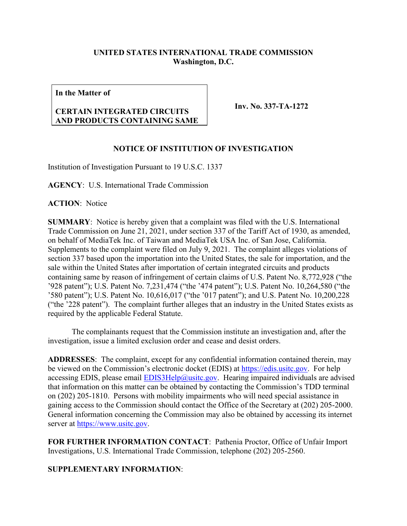## **UNITED STATES INTERNATIONAL TRADE COMMISSION Washington, D.C.**

**In the Matter of**

## **CERTAIN INTEGRATED CIRCUITS AND PRODUCTS CONTAINING SAME**

**Inv. No. 337-TA-1272**

## **NOTICE OF INSTITUTION OF INVESTIGATION**

Institution of Investigation Pursuant to 19 U.S.C. 1337

**AGENCY**: U.S. International Trade Commission

**ACTION**: Notice

**SUMMARY**: Notice is hereby given that a complaint was filed with the U.S. International Trade Commission on June 21, 2021, under section 337 of the Tariff Act of 1930, as amended, on behalf of MediaTek Inc. of Taiwan and MediaTek USA Inc. of San Jose, California. Supplements to the complaint were filed on July 9, 2021. The complaint alleges violations of section 337 based upon the importation into the United States, the sale for importation, and the sale within the United States after importation of certain integrated circuits and products containing same by reason of infringement of certain claims of U.S. Patent No. 8,772,928 ("the '928 patent"); U.S. Patent No. 7,231,474 ("the '474 patent"); U.S. Patent No. 10,264,580 ("the '580 patent"); U.S. Patent No. 10,616,017 ("the '017 patent"); and U.S. Patent No. 10,200,228 ("the '228 patent"). The complaint further alleges that an industry in the United States exists as required by the applicable Federal Statute.

The complainants request that the Commission institute an investigation and, after the investigation, issue a limited exclusion order and cease and desist orders.

**ADDRESSES**: The complaint, except for any confidential information contained therein, may be viewed on the Commission's electronic docket (EDIS) at [https://edis.usitc.gov.](https://edis.usitc.gov/) For help accessing EDIS, please email **EDIS3Help@usitc.gov**. Hearing impaired individuals are advised that information on this matter can be obtained by contacting the Commission's TDD terminal on (202) 205-1810. Persons with mobility impairments who will need special assistance in gaining access to the Commission should contact the Office of the Secretary at (202) 205-2000. General information concerning the Commission may also be obtained by accessing its internet server at [https://www.usitc.gov.](https://www.usitc.gov/)

**FOR FURTHER INFORMATION CONTACT**: Pathenia Proctor, Office of Unfair Import Investigations, U.S. International Trade Commission, telephone (202) 205-2560.

## **SUPPLEMENTARY INFORMATION**: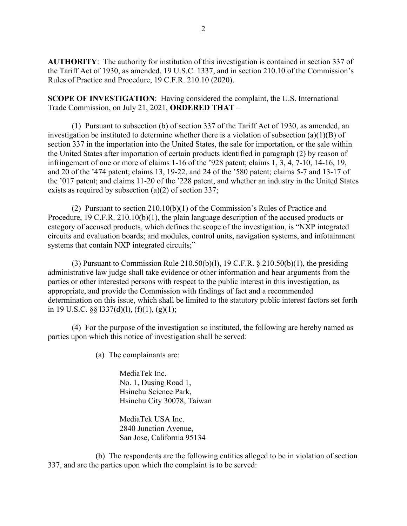**AUTHORITY**: The authority for institution of this investigation is contained in section 337 of the Tariff Act of 1930, as amended, 19 U.S.C. 1337, and in section 210.10 of the Commission's Rules of Practice and Procedure, 19 C.F.R. 210.10 (2020).

**SCOPE OF INVESTIGATION**: Having considered the complaint, the U.S. International Trade Commission, on July 21, 2021, **ORDERED THAT** –

(1) Pursuant to subsection (b) of section 337 of the Tariff Act of 1930, as amended, an investigation be instituted to determine whether there is a violation of subsection (a)(1)(B) of section 337 in the importation into the United States, the sale for importation, or the sale within the United States after importation of certain products identified in paragraph (2) by reason of infringement of one or more of claims 1-16 of the '928 patent; claims 1, 3, 4, 7-10, 14-16, 19, and 20 of the '474 patent; claims 13, 19-22, and 24 of the '580 patent; claims 5-7 and 13-17 of the '017 patent; and claims 11-20 of the '228 patent, and whether an industry in the United States exists as required by subsection (a)(2) of section 337;

(2) Pursuant to section 210.10(b)(1) of the Commission's Rules of Practice and Procedure, 19 C.F.R. 210.10(b)(1), the plain language description of the accused products or category of accused products, which defines the scope of the investigation, is "NXP integrated circuits and evaluation boards; and modules, control units, navigation systems, and infotainment systems that contain NXP integrated circuits;"

(3) Pursuant to Commission Rule 210.50(b)(1), 19 C.F.R.  $\S$  210.50(b)(1), the presiding administrative law judge shall take evidence or other information and hear arguments from the parties or other interested persons with respect to the public interest in this investigation, as appropriate, and provide the Commission with findings of fact and a recommended determination on this issue, which shall be limited to the statutory public interest factors set forth in 19 U.S.C.  $\S$   $\S$  1337(d)(1), (f)(1), (g)(1);

(4) For the purpose of the investigation so instituted, the following are hereby named as parties upon which this notice of investigation shall be served:

(a) The complainants are:

MediaTek Inc. No. 1, Dusing Road 1, Hsinchu Science Park, Hsinchu City 30078, Taiwan

MediaTek USA Inc. 2840 Junction Avenue, San Jose, California 95134

(b) The respondents are the following entities alleged to be in violation of section 337, and are the parties upon which the complaint is to be served: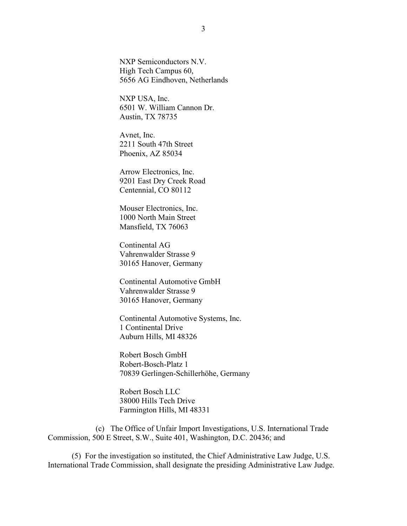NXP Semiconductors N.V. High Tech Campus 60, 5656 AG Eindhoven, Netherlands

NXP USA, Inc. 6501 W. William Cannon Dr. Austin, TX 78735

Avnet, Inc. 2211 South 47th Street Phoenix, AZ 85034

Arrow Electronics, Inc. 9201 East Dry Creek Road Centennial, CO 80112

Mouser Electronics, Inc. 1000 North Main Street Mansfield, TX 76063

Continental AG Vahrenwalder Strasse 9 30165 Hanover, Germany

Continental Automotive GmbH Vahrenwalder Strasse 9 30165 Hanover, Germany

Continental Automotive Systems, Inc. 1 Continental Drive Auburn Hills, MI 48326

Robert Bosch GmbH Robert-Bosch-Platz 1 70839 Gerlingen-Schillerhöhe, Germany

Robert Bosch LLC 38000 Hills Tech Drive Farmington Hills, MI 48331

(c) The Office of Unfair Import Investigations, U.S. International Trade Commission, 500 E Street, S.W., Suite 401, Washington, D.C. 20436; and

(5) For the investigation so instituted, the Chief Administrative Law Judge, U.S. International Trade Commission, shall designate the presiding Administrative Law Judge.